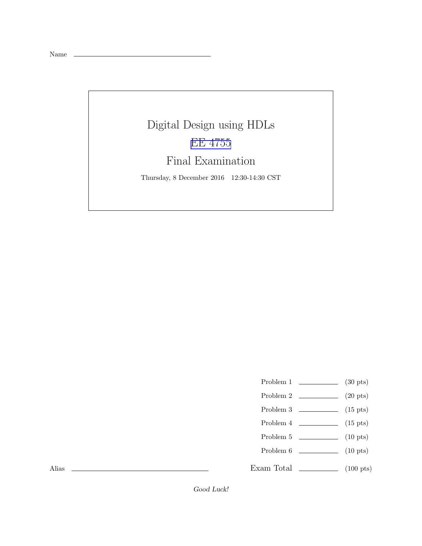Name

## Digital Design using HDLs [EE 4755](http://www.ece.lsu.edu/koppel/v/) Final Examination

Thursday, 8 December 2016 12:30-14:30 CST

- Problem 1  $\qquad \qquad$  (30 pts)
- Problem 2  $\qquad \qquad (20 \text{ pts})$
- Problem  $3 \t\t(15 \text{ pts})$
- Problem  $4 \t\t(15 \text{ pts})$
- Problem 5  $\qquad \qquad$  (10 pts)
- Problem 6 (10 pts)
- Exam Total \_\_\_\_\_\_\_\_\_\_\_\_\_\_ (100 pts)

Alias

Good Luck!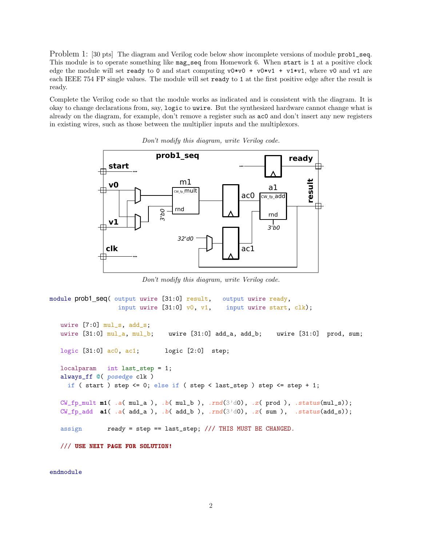Problem 1: [30 pts] The diagram and Verilog code below show incomplete versions of module prob1\_seq. This module is to operate something like mag\_seq from Homework 6. When start is 1 at a positive clock edge the module will set ready to 0 and start computing  $v0*v0 + v0*v1 + v1*v1$ , where v0 and v1 are each IEEE 754 FP single values. The module will set ready to 1 at the first positive edge after the result is ready.

Complete the Verilog code so that the module works as indicated and is consistent with the diagram. It is okay to change declarations from, say, logic to uwire. But the synthesized hardware cannot change what is already on the diagram, for example, don't remove a register such as ac0 and don't insert any new registers in existing wires, such as those between the multiplier inputs and the multiplexors.



Don't modify this diagram, write Verilog code.

Don't modify this diagram, write Verilog code.

```
module prob1_seq( output uwire [31:0] result, output uwire ready,
                  input uwire [31:0] v0, v1, input uwire start, clk);
  uwire [7:0] mul_s, add_s;
  uwire [31:0] mul_a, mul_b; uwire [31:0] add_a, add_b; uwire [31:0] prod, sum;
  logic [31:0] ac0, ac1; logic [2:0] step;
  localparam int last_step = 1;
  always_ff @( posedge clk )
    if ( start ) step \leq 0; else if ( step \leq last_step ) step \leq step + 1;
  CW\_fp\_mult m1( .a( mul_a ), .b( mul_b ), .rnd(3' d0), .z( prod ), .status(mul_s));
  CW\_fp\_add a1( .a( add\_a), .b(add\_b), .rnd(3'd0), .z(sum), .status(add\_s));
   assign ready = step == last_step; /// THIS MUST BE CHANGED.
   /// USE NEXT PAGE FOR SOLUTION!
```
endmodule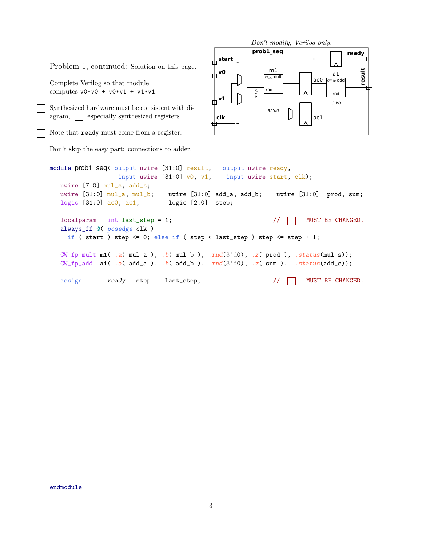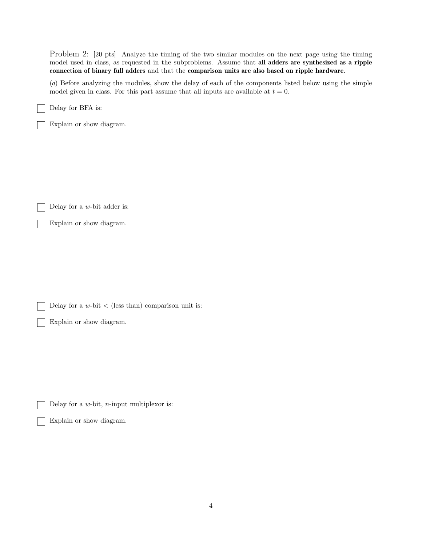Problem 2: [20 pts] Analyze the timing of the two similar modules on the next page using the timing model used in class, as requested in the subproblems. Assume that all adders are synthesized as a ripple connection of binary full adders and that the comparison units are also based on ripple hardware.

(a) Before analyzing the modules, show the delay of each of the components listed below using the simple model given in class. For this part assume that all inputs are available at  $t = 0$ .

Delay for BFA is:

Explain or show diagram.

Delay for a w-bit adder is:  $\overline{1}$ 

Explain or show diagram.

Delay for a  $w$ -bit  $\lt$  (less than) comparison unit is:

Explain or show diagram.

Delay for a  $w$ -bit, *n*-input multiplexor is:

Explain or show diagram.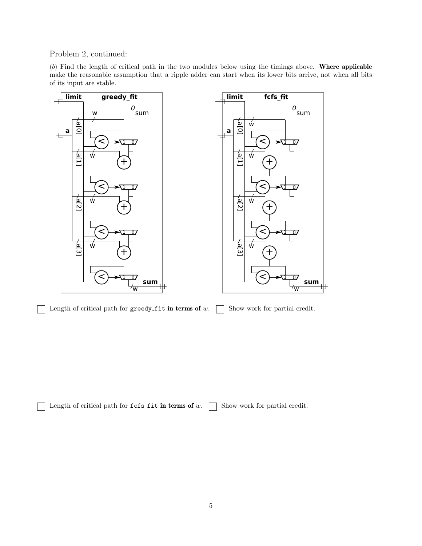Problem 2, continued:

(b) Find the length of critical path in the two modules below using the timings above. Where applicable make the reasonable assumption that a ripple adder can start when its lower bits arrive, not when all bits of its input are stable.



Length of critical path for greedy fit in terms of  $w$ .  $\Box$  Show work for partial credit.  $\overline{1}$ 

Length of critical path for  $fcs_f$  it in terms of w.  $\Box$  Show work for partial credit.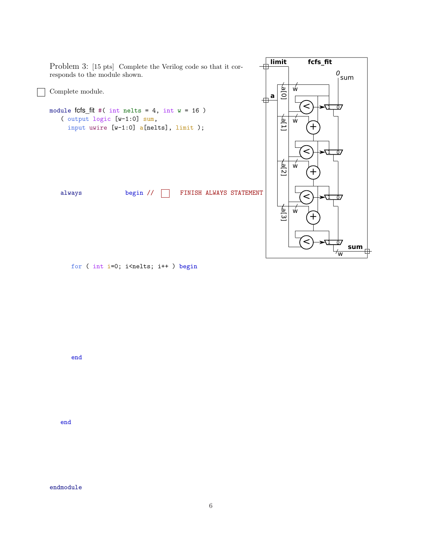

end

end

endmodule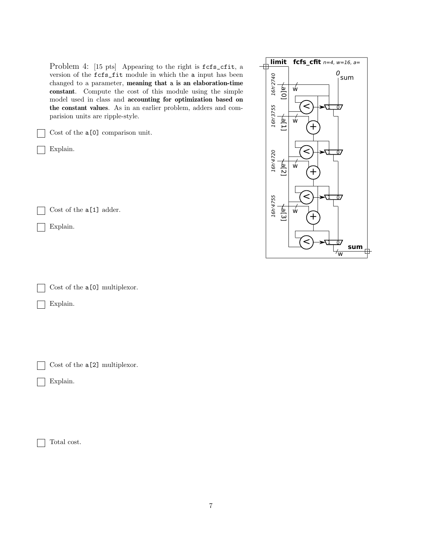Problem 4: [15 pts] Appearing to the right is  $fcfs_cfit$ , a version of the fcfs\_fit module in which the a input has been changed to a parameter, meaning that a is an elaboration-time constant. Compute the cost of this module using the simple model used in class and accounting for optimization based on the constant values. As in an earlier problem, adders and comparision units are ripple-style.

Cost of the a[0] comparison unit.

Explain.

Cost of the a[1] adder.

Explain.

Cost of the  $a[0]$  multiplexor.

Explain.

Cost of the a[2] multiplexor.

Explain.

Total cost.

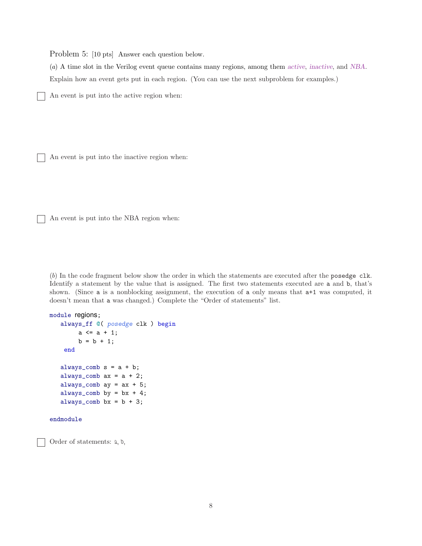Problem 5: [10 pts] Answer each question below.

(a) A time slot in the Verilog event queue contains many regions, among them active, inactive, and NBA. Explain how an event gets put in each region. (You can use the next subproblem for examples.)

An event is put into the active region when:

An event is put into the inactive region when:

An event is put into the NBA region when:

(b) In the code fragment below show the order in which the statements are executed after the posedge clk. Identify a statement by the value that is assigned. The first two statements executed are a and b, that's shown. (Since a is a nonblocking assignment, the execution of a only means that a+1 was computed, it doesn't mean that a was changed.) Complete the "Order of statements" list.

```
module regions;
   always_ff @( posedge clk ) begin
        a \leq a + 1;
        b = b + 1;end
   always_comb s = a + b;
   always_comb ax = a + 2;
   always_comb ay = ax + 5;
   always_comb by = bx + 4;
   always_comb bx = b + 3;
endmodule
```
Order of statements: a, b,